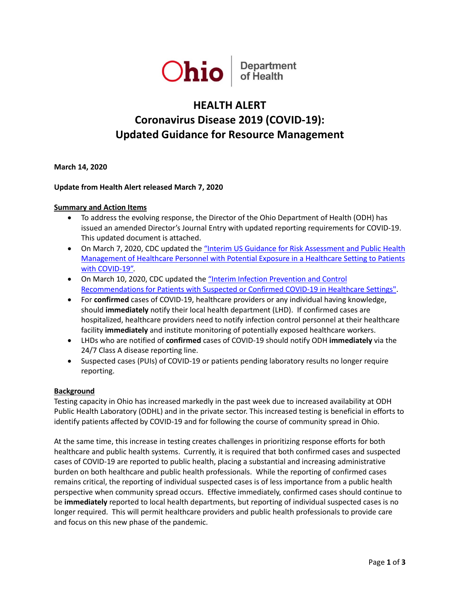

# **HEALTH ALERT Coronavirus Disease 2019 (COVID-19): Updated Guidance for Resource Management**

**March 14, 2020**

## **Update from Health Alert released March 7, 2020**

#### **Summary and Action Items**

- To address the evolving response, the Director of the Ohio Department of Health (ODH) has issued an amended Director's Journal Entry with updated reporting requirements for COVID-19. This updated document is attached.
- On March 7, 2020, CDC updated the "Interim US Guidance for Risk Assessment and Public Health [Management of Healthcare Personnel with Potential Exposure in a Healthcare Setting to Patients](https://www.cdc.gov/coronavirus/2019-ncov/hcp/guidance-risk-assesment-hcp.html)  [with COVID-19".](https://www.cdc.gov/coronavirus/2019-ncov/hcp/guidance-risk-assesment-hcp.html)
- On March 10, 2020, CDC updated the ["Interim Infection Prevention and Control](https://www.cdc.gov/coronavirus/2019-ncov/infection-control/control-recommendations.html)  [Recommendations for Patients with Suspected or Confirmed COVID-19 in Healthcare Settings".](https://www.cdc.gov/coronavirus/2019-ncov/infection-control/control-recommendations.html)
- For **confirmed** cases of COVID-19, healthcare providers or any individual having knowledge, should **immediately** notify their local health department (LHD). If confirmed cases are hospitalized, healthcare providers need to notify infection control personnel at their healthcare facility **immediately** and institute monitoring of potentially exposed healthcare workers.
- LHDs who are notified of **confirmed** cases of COVID-19 should notify ODH **immediately** via the 24/7 Class A disease reporting line.
- Suspected cases (PUIs) of COVID-19 or patients pending laboratory results no longer require reporting.

#### **Background**

Testing capacity in Ohio has increased markedly in the past week due to increased availability at ODH Public Health Laboratory (ODHL) and in the private sector. This increased testing is beneficial in efforts to identify patients affected by COVID-19 and for following the course of community spread in Ohio.

At the same time, this increase in testing creates challenges in prioritizing response efforts for both healthcare and public health systems. Currently, it is required that both confirmed cases and suspected cases of COVID-19 are reported to public health, placing a substantial and increasing administrative burden on both healthcare and public health professionals. While the reporting of confirmed cases remains critical, the reporting of individual suspected cases is of less importance from a public health perspective when community spread occurs. Effective immediately, confirmed cases should continue to be **immediately** reported to local health departments, but reporting of individual suspected cases is no longer required. This will permit healthcare providers and public health professionals to provide care and focus on this new phase of the pandemic.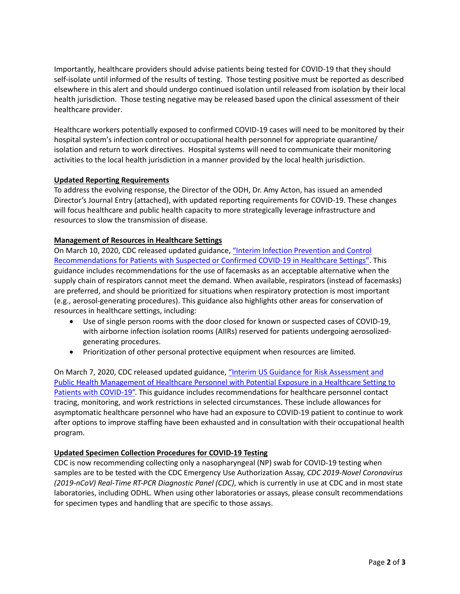Importantly, healthcare providers should advise patients being tested for COVID-19 that they should self-isolate until informed of the results of testing. Those testing positive must be reported as described elsewhere in this alert and should undergo continued isolation until released from isolation by their local health jurisdiction. Those testing negative may be released based upon the clinical assessment of their healthcare provider.

Healthcare workers potentially exposed to confirmed COVID-19 cases will need to be monitored by their hospital system's infection control or occupational health personnel for appropriate quarantine/ isolation and return to work directives. Hospital systems will need to communicate their monitoring activities to the local health jurisdiction in a manner provided by the local health jurisdiction.

## **Updated Reporting Requirements**

To address the evolving response, the Director of the ODH, Dr. Amy Acton, has issued an amended Director's Journal Entry (attached), with updated reporting requirements for COVID-19. These changes will focus healthcare and public health capacity to more strategically leverage infrastructure and resources to slow the transmission of disease.

#### **Management of Resources in Healthcare Settings**

On March 10, 2020, CDC released updated guidance[, "Interim Infection Prevention and Control](https://www.cdc.gov/coronavirus/2019-ncov/infection-control/control-recommendations.html)  [Recommendations for Patients with Suspected or Confirmed COVID-19 in Healthcare Settings".](https://www.cdc.gov/coronavirus/2019-ncov/infection-control/control-recommendations.html) This guidance includes recommendations for the use of facemasks as an acceptable alternative when the supply chain of respirators cannot meet the demand. When available, respirators (instead of facemasks) are preferred, and should be prioritized for situations when respiratory protection is most important (e.g., aerosol-generating procedures). This guidance also highlights other areas for conservation of resources in healthcare settings, including:

- Use of single person rooms with the door closed for known or suspected cases of COVID-19, with airborne infection isolation rooms (AIIRs) reserved for patients undergoing aerosolizedgenerating procedures.
- Prioritization of other personal protective equipment when resources are limited.

On March 7, 2020, CDC released updated guidance, ["Interim US Guidance for Risk Assessment and](https://www.cdc.gov/coronavirus/2019-ncov/hcp/guidance-risk-assesment-hcp.html)  [Public Health Management of Healthcare Personnel with Potential Exposure in a Healthcare Setting to](https://www.cdc.gov/coronavirus/2019-ncov/hcp/guidance-risk-assesment-hcp.html)  [Patients with COVID-19".](https://www.cdc.gov/coronavirus/2019-ncov/hcp/guidance-risk-assesment-hcp.html) This guidance includes recommendations for healthcare personnel contact tracing, monitoring, and work restrictions in selected circumstances. These include allowances for asymptomatic healthcare personnel who have had an exposure to COVID-19 patient to continue to work after options to improve staffing have been exhausted and in consultation with their occupational health program.

## **Updated Specimen Collection Procedures for COVID-19 Testing**

CDC is now recommending collecting only a nasopharyngeal (NP) swab for COVID-19 testing when samples are to be tested with the CDC Emergency Use Authorization Assay, *CDC 2019-Novel Coronavirus (2019-nCoV) Real-Time RT-PCR Diagnostic Panel (CDC)*, which is currently in use at CDC and in most state laboratories, including ODHL. When using other laboratories or assays, please consult recommendations for specimen types and handling that are specific to those assays.